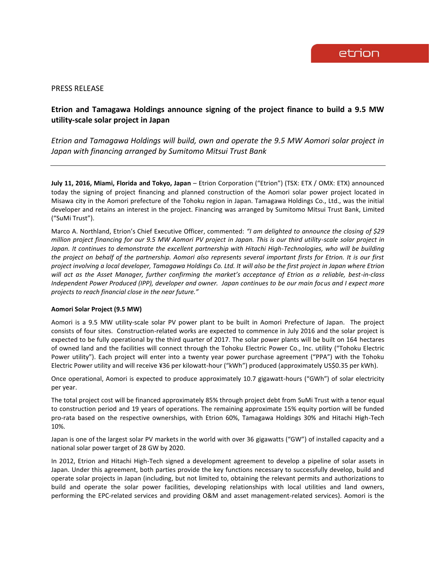## PRESS RELEASE

# **Etrion and Tamagawa Holdings announce signing of the project finance to build a 9.5 MW utility-scale solar project in Japan**

*Etrion and Tamagawa Holdings will build, own and operate the 9.5 MW Aomori solar project in Japan with financing arranged by Sumitomo Mitsui Trust Bank*

**July 11, 2016, Miami, Florida and Tokyo, Japan** – Etrion Corporation ("Etrion") (TSX: ETX / OMX: ETX) announced today the signing of project financing and planned construction of the Aomori solar power project located in Misawa city in the Aomori prefecture of the Tohoku region in Japan. Tamagawa Holdings Co., Ltd., was the initial developer and retains an interest in the project. Financing was arranged by Sumitomo Mitsui Trust Bank, Limited ("SuMi Trust").

Marco A. Northland, Etrion's Chief Executive Officer, commented: *"I am delighted to announce the closing of \$29 million project financing for our 9.5 MW Aomori PV project in Japan. This is our third utility-scale solar project in*  Japan. It continues to demonstrate the excellent partnership with Hitachi High-Technologies, who will be building *the project on behalf of the partnership. Aomori also represents several important firsts for Etrion. It is our first project involving a local developer, Tamagawa Holdings Co. Ltd. It will also be the first project in Japan where Etrion will act as the Asset Manager, further confirming the market's acceptance of Etrion as a reliable, best-in-class Independent Power Produced (IPP), developer and owner. Japan continues to be our main focus and I expect more projects to reach financial close in the near future."* 

### **Aomori Solar Project (9.5 MW)**

Aomori is a 9.5 MW utility-scale solar PV power plant to be built in Aomori Prefecture of Japan. The project consists of four sites. Construction-related works are expected to commence in July 2016 and the solar project is expected to be fully operational by the third quarter of 2017. The solar power plants will be built on 164 hectares of owned land and the facilities will connect through the Tohoku Electric Power Co., Inc. utility ("Tohoku Electric Power utility"). Each project will enter into a twenty year power purchase agreement ("PPA") with the Tohoku Electric Power utility and will receive ¥36 per kilowatt-hour ("kWh") produced (approximately US\$0.35 per kWh).

Once operational, Aomori is expected to produce approximately 10.7 gigawatt-hours ("GWh") of solar electricity per year.

The total project cost will be financed approximately 85% through project debt from SuMi Trust with a tenor equal to construction period and 19 years of operations. The remaining approximate 15% equity portion will be funded pro-rata based on the respective ownerships, with Etrion 60%, Tamagawa Holdings 30% and Hitachi High-Tech 10%.

Japan is one of the largest solar PV markets in the world with over 36 gigawatts ("GW") of installed capacity and a national solar power target of 28 GW by 2020.

In 2012, Etrion and Hitachi High-Tech signed a development agreement to develop a pipeline of solar assets in Japan. Under this agreement, both parties provide the key functions necessary to successfully develop, build and operate solar projects in Japan (including, but not limited to, obtaining the relevant permits and authorizations to build and operate the solar power facilities, developing relationships with local utilities and land owners, performing the EPC-related services and providing O&M and asset management-related services). Aomori is the